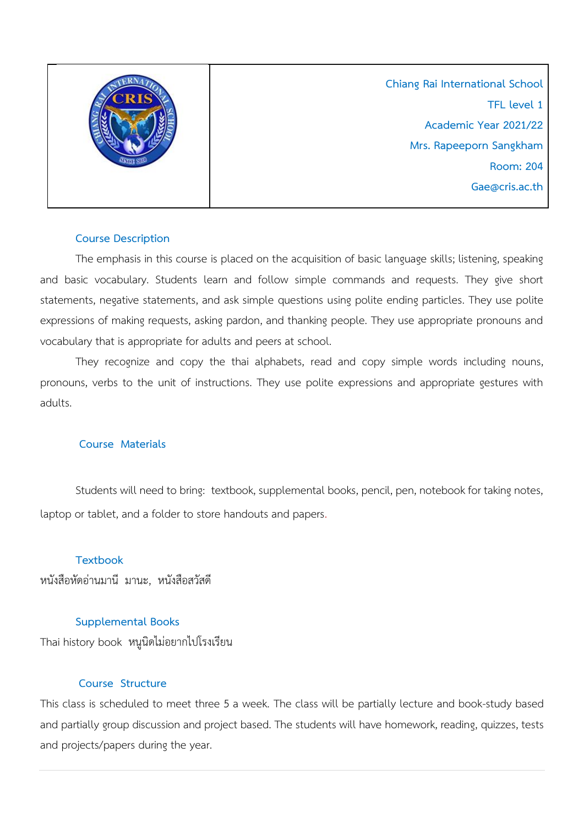

**Chiang Rai International School TFL level 1 Academic Year 2021/22 Mrs. Rapeeporn Sangkham Room: 204 Gae@cris.ac.th**

### **Course Description**

The emphasis in this course is placed on the acquisition of basic language skills; listening, speaking and basic vocabulary. Students learn and follow simple commands and requests. They give short statements, negative statements, and ask simple questions using polite ending particles. They use polite expressions of making requests, asking pardon, and thanking people. They use appropriate pronouns and vocabulary that is appropriate for adults and peers at school.

They recognize and copy the thai alphabets, read and copy simple words including nouns, pronouns, verbs to the unit of instructions. They use polite expressions and appropriate gestures with adults.

### **Course Materials**

Students will need to bring: textbook, supplemental books, pencil, pen, notebook for taking notes, laptop or tablet, and a folder to store handouts and papers.

# **Textbook**

หนังสือหัดอ่านมานี มานะ, หนังสือสวัสดี

# **Supplemental Books**

Thai history book หนูนิดไม่อยากไปโรงเรียน

### **Course Structure**

This class is scheduled to meet three 5 a week. The class will be partially lecture and book-study based and partially group discussion and project based. The students will have homework, reading, quizzes, tests and projects/papers during the year.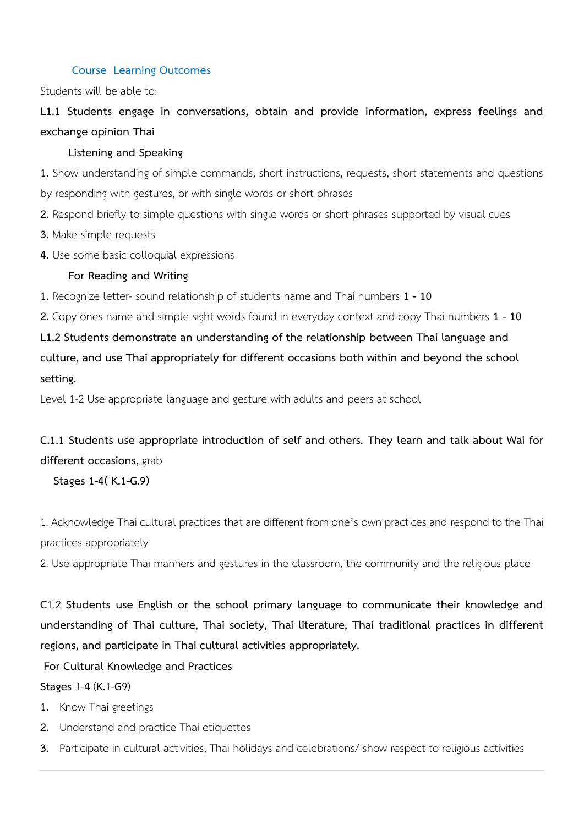### **Course Learning Outcomes**

Students will be able to:

**L1.1 Students engage in conversations, obtain and provide information, express feelings and exchange opinion Thai**

### **Listening and Speaking**

**1.** Show understanding of simple commands, short instructions, requests, short statements and questions by responding with gestures, or with single words or short phrases

**2.** Respond briefly to simple questions with single words or short phrases supported by visual cues

**3.** Make simple requests

**4.** Use some basic colloquial expressions

## **For Reading and Writing**

**1.** Recognize letter- sound relationship of students name and Thai numbers **1 - 10**

**2.** Copy ones name and simple sight words found in everyday context and copy Thai numbers **1 - 10**

**L1.2 Students demonstrate an understanding of the relationship between Thai language and culture, and use Thai appropriately for different occasions both within and beyond the school setting.**

Level 1-2 Use appropriate language and gesture with adults and peers at school

**C.1.1 Students use appropriate introduction of self and others. They learn and talk about Wai for different occasions,** grab

### **Stages 1-4( K.1-G.9)**

1. Acknowledge Thai cultural practices that are different from one's own practices and respond to the Thai practices appropriately

2. Use appropriate Thai manners and gestures in the classroom, the community and the religious place

**C**1.2 **Students use English or the school primary language to communicate their knowledge and understanding of Thai culture, Thai society, Thai literature, Thai traditional practices in different regions, and participate in Thai cultural activities appropriately.**

**For Cultural Knowledge and Practices**

### **Stages** 1-4 (**K.**1-**G**9)

- **1.** Know Thai greetings
- **2.** Understand and practice Thai etiquettes
- **3.** Participate in cultural activities, Thai holidays and celebrations/ show respect to religious activities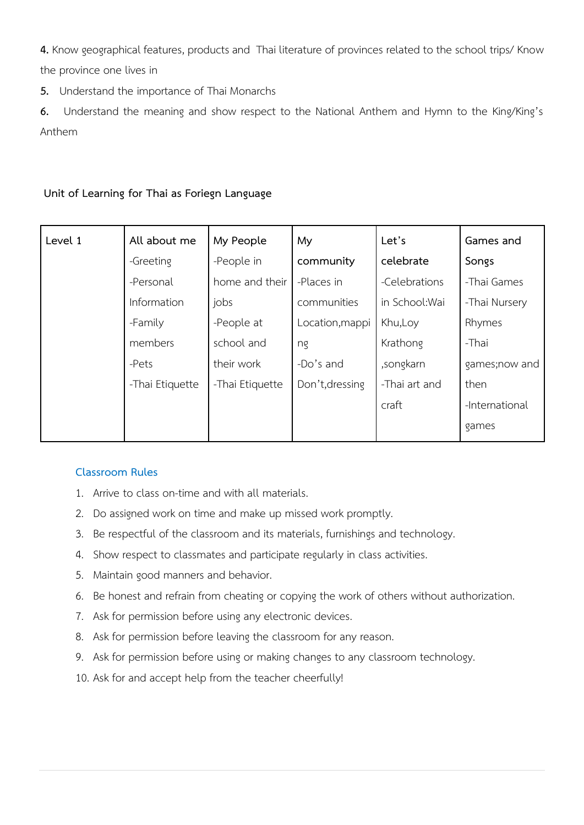**4.** Know geographical features, products and Thai literature of provinces related to the school trips/ Know the province one lives in

**5.** Understand the importance of Thai Monarchs

**6.** Understand the meaning and show respect to the National Anthem and Hymn to the King/King's Anthem

## **Unit of Learning for Thai as Foriegn Language**

| Level 1 | All about me    | My People       | My              | Let's          | Games and      |
|---------|-----------------|-----------------|-----------------|----------------|----------------|
|         | -Greeting       | -People in      | community       | celebrate      | Songs          |
|         | -Personal       | home and their  | -Places in      | -Celebrations  | -Thai Games    |
|         | Information     | jobs            | communities     | in School: Wai | -Thai Nursery  |
|         | -Family         | -People at      | Location, mappi | Khu, Loy       | Rhymes         |
|         | members         | school and      | ng              | Krathong       | -Thai          |
|         | -Pets           | their work      | -Do's and       | ,songkarn      | games;now and  |
|         | -Thai Etiquette | -Thai Etiquette | Don't, dressing | -Thai art and  | then           |
|         |                 |                 |                 | craft          | -International |
|         |                 |                 |                 |                | games          |

### **Classroom Rules**

- 1. Arrive to class on-time and with all materials.
- 2. Do assigned work on time and make up missed work promptly.
- 3. Be respectful of the classroom and its materials, furnishings and technology.
- 4. Show respect to classmates and participate regularly in class activities.
- 5. Maintain good manners and behavior.
- 6. Be honest and refrain from cheating or copying the work of others without authorization.
- 7. Ask for permission before using any electronic devices.
- 8. Ask for permission before leaving the classroom for any reason.
- 9. Ask for permission before using or making changes to any classroom technology.
- 10. Ask for and accept help from the teacher cheerfully!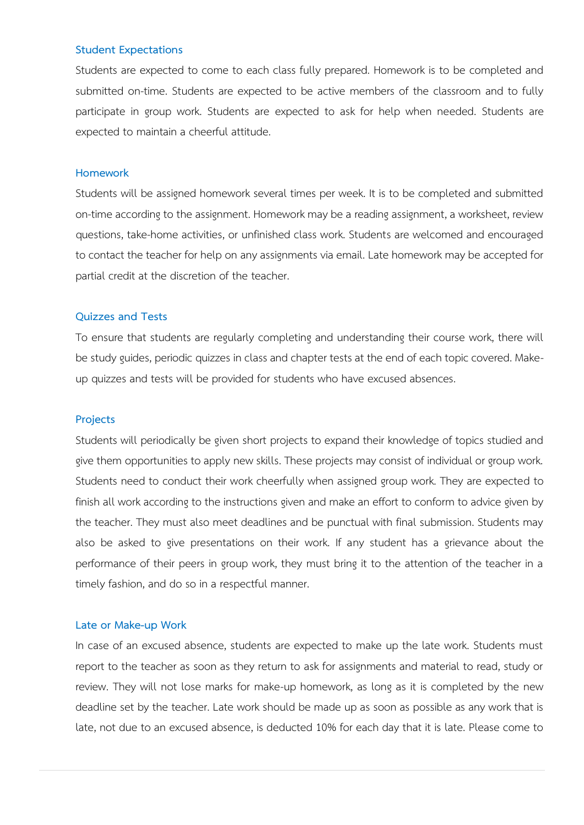#### **Student Expectations**

Students are expected to come to each class fully prepared. Homework is to be completed and submitted on-time. Students are expected to be active members of the classroom and to fully participate in group work. Students are expected to ask for help when needed. Students are expected to maintain a cheerful attitude.

#### **Homework**

Students will be assigned homework several times per week. It is to be completed and submitted on-time according to the assignment. Homework may be a reading assignment, a worksheet, review questions, take-home activities, or unfinished class work. Students are welcomed and encouraged to contact the teacher for help on any assignments via email. Late homework may be accepted for partial credit at the discretion of the teacher.

#### **Quizzes and Tests**

To ensure that students are regularly completing and understanding their course work, there will be study guides, periodic quizzes in class and chapter tests at the end of each topic covered. Makeup quizzes and tests will be provided for students who have excused absences.

#### **Projects**

Students will periodically be given short projects to expand their knowledge of topics studied and give them opportunities to apply new skills. These projects may consist of individual or group work. Students need to conduct their work cheerfully when assigned group work. They are expected to finish all work according to the instructions given and make an effort to conform to advice given by the teacher. They must also meet deadlines and be punctual with final submission. Students may also be asked to give presentations on their work. If any student has a grievance about the performance of their peers in group work, they must bring it to the attention of the teacher in a timely fashion, and do so in a respectful manner.

#### **Late or Make-up Work**

In case of an excused absence, students are expected to make up the late work. Students must report to the teacher as soon as they return to ask for assignments and material to read, study or review. They will not lose marks for make-up homework, as long as it is completed by the new deadline set by the teacher. Late work should be made up as soon as possible as any work that is late, not due to an excused absence, is deducted 10% for each day that it is late. Please come to